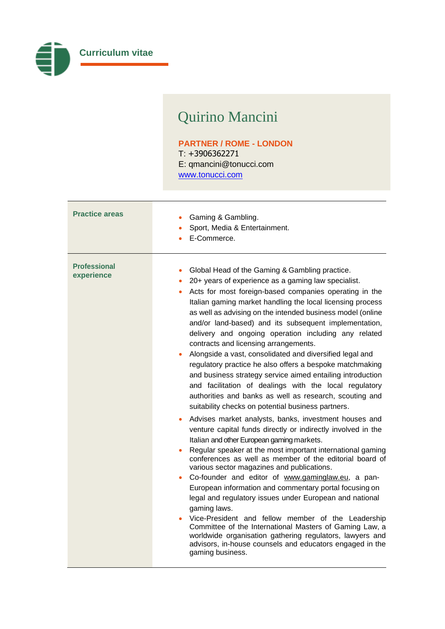

## Quirino Mancini

## **PARTNER / ROME - LONDON** T: +3906362271 E: [qmancini@tonucci.com](mailto:qmancini@tonucci.com) [www.tonucci.com](http://www.tonucci.com/)

| <b>Practice areas</b>             | Gaming & Gambling.<br>Sport, Media & Entertainment.<br>E-Commerce.                                                                                                                                                                                                                                                                                                                                                                                                                                                                                                                                                                                                                                                                                                                                                                                                                                                                                                                                                                                                                                                                                                                                                                                                                                                                                                                                                                                                                                                                                                                                                               |
|-----------------------------------|----------------------------------------------------------------------------------------------------------------------------------------------------------------------------------------------------------------------------------------------------------------------------------------------------------------------------------------------------------------------------------------------------------------------------------------------------------------------------------------------------------------------------------------------------------------------------------------------------------------------------------------------------------------------------------------------------------------------------------------------------------------------------------------------------------------------------------------------------------------------------------------------------------------------------------------------------------------------------------------------------------------------------------------------------------------------------------------------------------------------------------------------------------------------------------------------------------------------------------------------------------------------------------------------------------------------------------------------------------------------------------------------------------------------------------------------------------------------------------------------------------------------------------------------------------------------------------------------------------------------------------|
| <b>Professional</b><br>experience | Global Head of the Gaming & Gambling practice.<br>20+ years of experience as a gaming law specialist.<br>۰<br>Acts for most foreign-based companies operating in the<br>Italian gaming market handling the local licensing process<br>as well as advising on the intended business model (online<br>and/or land-based) and its subsequent implementation,<br>delivery and ongoing operation including any related<br>contracts and licensing arrangements.<br>Alongside a vast, consolidated and diversified legal and<br>regulatory practice he also offers a bespoke matchmaking<br>and business strategy service aimed entailing introduction<br>and facilitation of dealings with the local regulatory<br>authorities and banks as well as research, scouting and<br>suitability checks on potential business partners.<br>Advises market analysts, banks, investment houses and<br>venture capital funds directly or indirectly involved in the<br>Italian and other European gaming markets.<br>Regular speaker at the most important international gaming<br>conferences as well as member of the editorial board of<br>various sector magazines and publications.<br>Co-founder and editor of www.gaminglaw.eu, a pan-<br>European information and commentary portal focusing on<br>legal and regulatory issues under European and national<br>gaming laws.<br>Vice-President and fellow member of the Leadership<br>Committee of the International Masters of Gaming Law, a<br>worldwide organisation gathering regulators, lawyers and<br>advisors, in-house counsels and educators engaged in the<br>gaming business. |